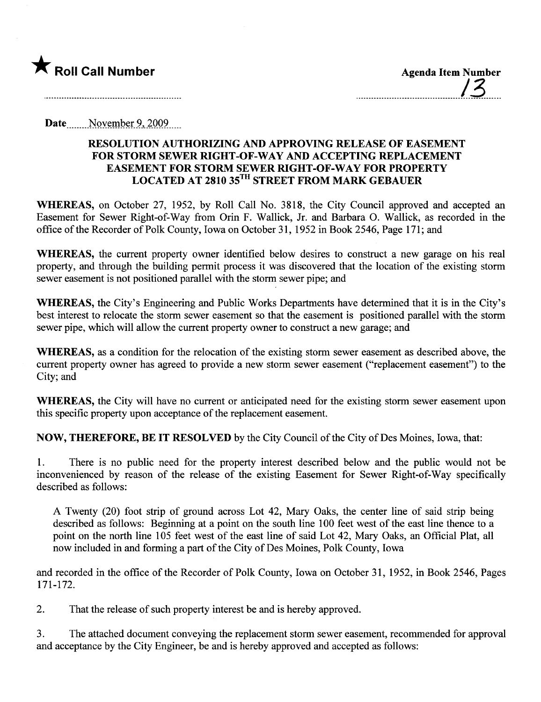

........................................./3......

Date... .....Nçn:~mR~L~ -,\_2-nQ~L \_\_\_

## RESOLUTION AUTHORIZING AND APPROVING RELEASE OF EASEMENT FOR STORM SEWER RIGHT-OF-WAY AND ACCEPTING REPLACEMENT EASEMENT FOR STORM SEWER RIGHT -OF -WAY FOR PROPERTY LOCATED AT 2810 35TH STREET FROM MARK GEBAUER

WHEREAS, on October 27, 1952, by Roll Call No. 3818, the City Council approved and accepted an Easement for Sewer Right-of-Way from Orin F. Wallick, Jr. and Barbara O. Wallick, as recorded in the office of the Recorder of Polk County, Iowa on October 31, 1952 in Book 2546, Page 171; and

WHEREAS, the current property owner identified below desires to construct a new garage on his real property, and through the building permit process it was discovered that the location of the existing storm sewer easement is not positioned parallel with the storm sewer pipe; and

WHEREAS, the City's Engineering and Public Works Departments have determined that it is in the City's best interest to relocate the storm sewer easement so that the easement is positioned parallel with the storm sewer pipe, which will allow the current property owner to construct a new garage; and

WHEREAS, as a condition for the relocation of the existing storm sewer easement as described above, the curent property owner has agreed to provide a new storm sewer easement ("replacement easement") to the City; and

WHEREAS, the City will have no current or anticipated need for the existing storm sewer easement upon this specific property upon acceptance of the replacement easement.

NOW, THEREFORE, BE IT RESOLVED by the City Council of the City of Des Moines, Iowa, that:

1. There is no public need for the property interest described below and the public would not be inconvenienced by reason of the release of the existing Easement for Sewer Right-of-Way specifically described as follows:

A Twenty (20) foot strip of ground across Lot 42, Mary Oaks, the center line of said strip being described as follows: Beginning at a point on the south line 100 feet west of the east line thence to a point on the north line 105 feet west of the east line of said Lot 42, Mary Oaks, an Official Plat, all now included in and forming a par of the City of Des Moines, Polk County, Iowa

and recorded in the office of the Recorder of Polk County, Iowa on October 31,1952, in Book 2546, Pages 171-172.

2. That the release of such property interest be and is hereby approved.

3. The attached document conveying the replacement storm sewer easement, recommended for approval and acceptance by the City Engineer, be and is hereby approved and accepted as follows: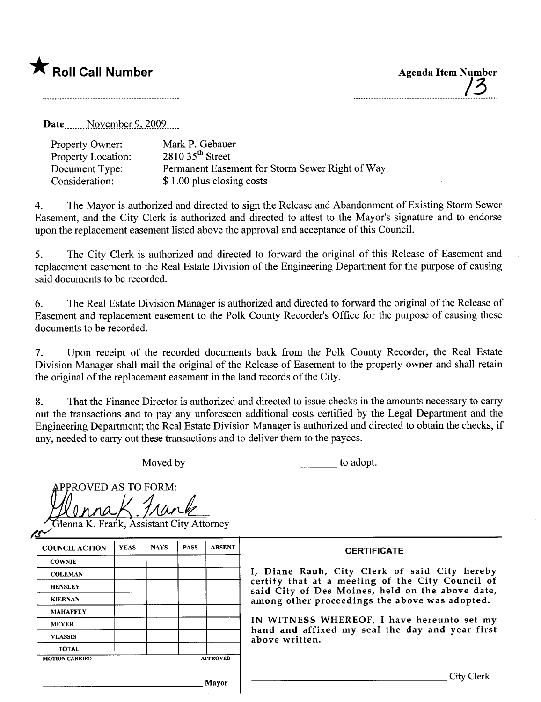## **\*** Roll Call Number Agenda Item Number

/3

Date November 9, 2009....

| Property Owner:           | Mark P. Gebauer                                 |
|---------------------------|-------------------------------------------------|
| <b>Property Location:</b> | $2810$ 35 <sup>th</sup> Street                  |
| Document Type:            | Permanent Easement for Storm Sewer Right of Way |
| Consideration:            | \$1.00 plus closing costs                       |

4. The Mayor is authorized and directed to sign the Release and Abandonment of Existing Storm Sewer Easement, and the City Clerk is authorized and directed to attest to the Mayor's signature and to endorse upon the replacement easement listed above the approval and acceptance of this CounciL.

5. The City Clerk is authorized and directed to forward the original of this Release of Easement and replacement easement to the Real Estate Division of the Engineering Department for the purose of causing said documents to be recorded.

6. The Real Estate Division Manager is authorized and directed to forward the original of the Release of Easement and replacement easement to the Polk County Recorder's Office for the purpose of causing these documents to be recorded.

7. Upon receipt of the recorded documents back from the Polk County Recorder, the Real Estate Division Manager shall mail the original of the Release of Easement to the property owner and shall retain the original of the replacement easement in the land records of the City.

8. That the Finance Director is authorized and directed to issue checks in the amounts necessary to carr out the transactions and to pay any unforeseen additional costs certified by the Legal Department and the Engineering Deparment; the Real Estate Division Manager is authorized and directed to obtain the checks, if any, needed to carry out these transactions and to deliver them to the payees.

Moved by to adopt.

PPROVED AS TO FORM:

| <b>COUNCIL ACTION</b> | <b>YEAS</b> | <b>NAYS</b> | <b>PASS</b> | <b>ABSENT</b> |
|-----------------------|-------------|-------------|-------------|---------------|
| <b>COWNIE</b>         |             |             |             |               |
| <b>COLEMAN</b>        |             |             |             |               |
| <b>HENSLEY</b>        |             |             |             |               |
| <b>KIERNAN</b>        |             |             |             |               |
| <b>MAHAFFEY</b>       |             |             |             |               |
| <b>MEYER</b>          |             |             |             |               |
| <b>VLASSIS</b>        |             |             |             |               |
| <b>TOTAL</b>          |             |             |             |               |

## **CERTIFICATE**

COLEMAN **I**, Diane Rauh, City Clerk of said City hereby certify that at a meeting of the City Council of said City of Des Moines, held on the above date, among other proceedings the above was adopted.

> IN WITNESS WHEREOF, I have hereunto set my hand and affixed my seal the day and year first above written.

Mayor